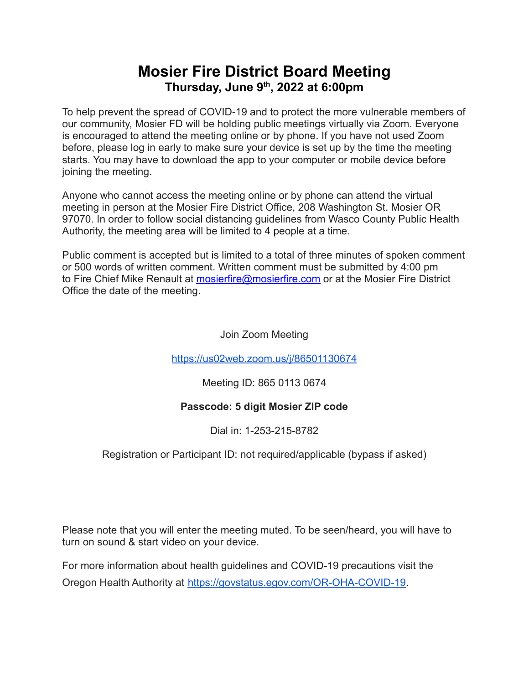## **Mosier Fire District Board Meeting Thursday, June 9 th , 2022 at 6:00pm**

To help prevent the spread of COVID-19 and to protect the more vulnerable members of our community, Mosier FD will be holding public meetings virtually via Zoom. Everyone is encouraged to attend the meeting online or by phone. If you have not used Zoom before, please log in early to make sure your device is set up by the time the meeting starts. You may have to download the app to your computer or mobile device before joining the meeting.

Anyone who cannot access the meeting online or by phone can attend the virtual meeting in person at the Mosier Fire District Office, 208 Washington St. Mosier OR 97070. In order to follow social distancing guidelines from Wasco County Public Health Authority, the meeting area will be limited to 4 people at a time.

Public comment is accepted but is limited to a total of three minutes of spoken comment or 500 words of written comment. Written comment must be submitted by 4:00 pm to Fire Chief Mike Renault at [mosierfire@mosierfire.com](mailto:mosierfire@mosierfire.com) or at the Mosier Fire District Office the date of the meeting.

Join Zoom Meeting

<https://us02web.zoom.us/j/86501130674>

Meeting ID: 865 0113 0674

### **Passcode: 5 digit Mosier ZIP code**

Dial in: 1-253-215-8782

Registration or Participant ID: not required/applicable (bypass if asked)

Please note that you will enter the meeting muted. To be seen/heard, you will have to turn on sound & start video on your device.

For more information about health guidelines and COVID-19 precautions visit the Oregon Health Authority at [https://govstatus.egov.com/OR-OHA-COVID-19.](https://govstatus.egov.com/OR-OHA-COVID-19)